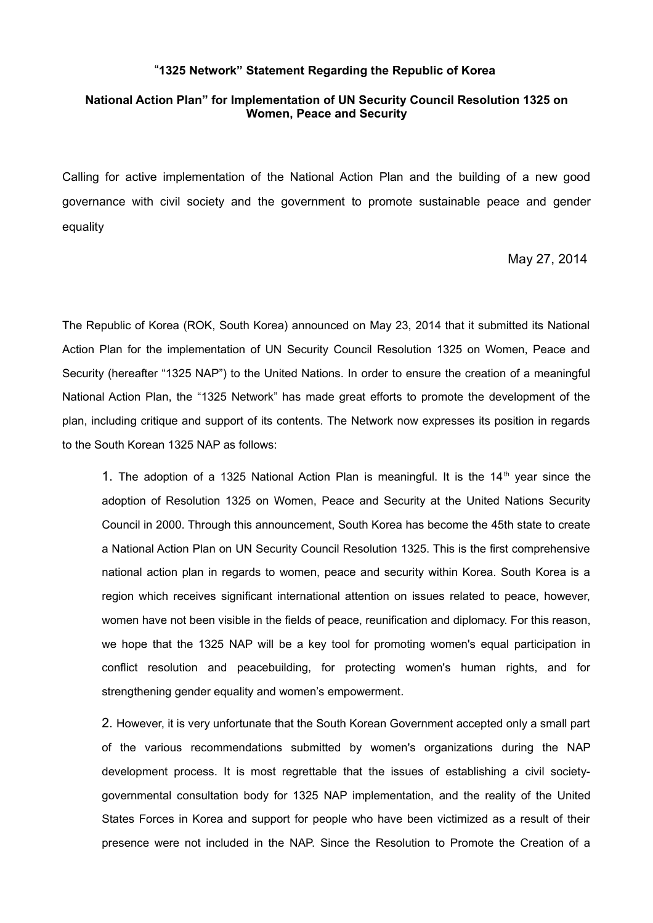## "**1325 Network" Statement Regarding the Republic of Korea**

## **National Action Plan" for Implementation of UN Security Council Resolution 1325 on Women, Peace and Security**

Calling for active implementation of the National Action Plan and the building of a new good governance with civil society and the government to promote sustainable peace and gender equality

## May 27, 2014

The Republic of Korea (ROK, South Korea) announced on May 23, 2014 that it submitted its National Action Plan for the implementation of UN Security Council Resolution 1325 on Women, Peace and Security (hereafter "1325 NAP") to the United Nations. In order to ensure the creation of a meaningful National Action Plan, the "1325 Network" has made great efforts to promote the development of the plan, including critique and support of its contents. The Network now expresses its position in regards to the South Korean 1325 NAP as follows:

1. The adoption of a 1325 National Action Plan is meaningful. It is the  $14<sup>th</sup>$  year since the adoption of Resolution 1325 on Women, Peace and Security at the United Nations Security Council in 2000. Through this announcement, South Korea has become the 45th state to create a National Action Plan on UN Security Council Resolution 1325. This is the first comprehensive national action plan in regards to women, peace and security within Korea. South Korea is a region which receives significant international attention on issues related to peace, however, women have not been visible in the fields of peace, reunification and diplomacy. For this reason, we hope that the 1325 NAP will be a key tool for promoting women's equal participation in conflict resolution and peacebuilding, for protecting women's human rights, and for strengthening gender equality and women's empowerment.

2. However, it is very unfortunate that the South Korean Government accepted only a small part of the various recommendations submitted by women's organizations during the NAP development process. It is most regrettable that the issues of establishing a civil societygovernmental consultation body for 1325 NAP implementation, and the reality of the United States Forces in Korea and support for people who have been victimized as a result of their presence were not included in the NAP. Since the Resolution to Promote the Creation of a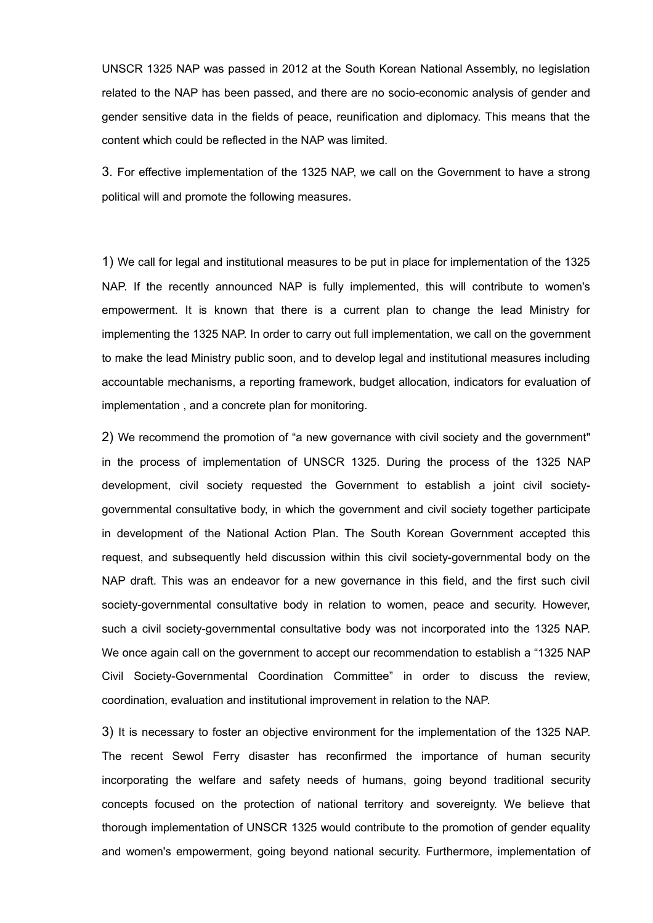UNSCR 1325 NAP was passed in 2012 at the South Korean National Assembly, no legislation related to the NAP has been passed, and there are no socio-economic analysis of gender and gender sensitive data in the fields of peace, reunification and diplomacy. This means that the content which could be reflected in the NAP was limited.

3. For effective implementation of the 1325 NAP, we call on the Government to have a strong political will and promote the following measures.

1) We call for legal and institutional measures to be put in place for implementation of the 1325 NAP. If the recently announced NAP is fully implemented, this will contribute to women's empowerment. It is known that there is a current plan to change the lead Ministry for implementing the 1325 NAP. In order to carry out full implementation, we call on the government to make the lead Ministry public soon, and to develop legal and institutional measures including accountable mechanisms, a reporting framework, budget allocation, indicators for evaluation of implementation , and a concrete plan for monitoring.

2) We recommend the promotion of "a new governance with civil society and the government" in the process of implementation of UNSCR 1325. During the process of the 1325 NAP development, civil society requested the Government to establish a joint civil societygovernmental consultative body, in which the government and civil society together participate in development of the National Action Plan. The South Korean Government accepted this request, and subsequently held discussion within this civil society-governmental body on the NAP draft. This was an endeavor for a new governance in this field, and the first such civil society-governmental consultative body in relation to women, peace and security. However, such a civil society-governmental consultative body was not incorporated into the 1325 NAP. We once again call on the government to accept our recommendation to establish a "1325 NAP Civil Society-Governmental Coordination Committee" in order to discuss the review, coordination, evaluation and institutional improvement in relation to the NAP.

3) It is necessary to foster an objective environment for the implementation of the 1325 NAP. The recent Sewol Ferry disaster has reconfirmed the importance of human security incorporating the welfare and safety needs of humans, going beyond traditional security concepts focused on the protection of national territory and sovereignty. We believe that thorough implementation of UNSCR 1325 would contribute to the promotion of gender equality and women's empowerment, going beyond national security. Furthermore, implementation of